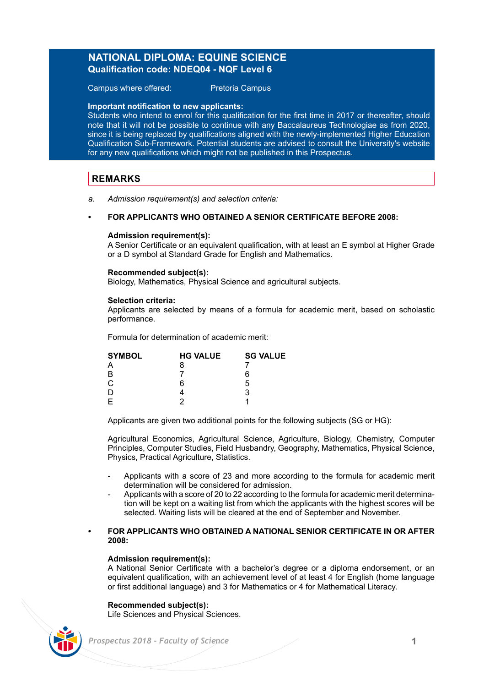# **NATIONAL DIPLOMA: EQUINE SCIENCE Qualification code: NDEQ04 - NQF Level 6**

Campus where offered: Pretoria Campus

## **Important notification to new applicants:**

Students who intend to enrol for this qualification for the first time in 2017 or thereafter, should note that it will not be possible to continue with any Baccalaureus Technologiae as from 2020, since it is being replaced by qualifications aligned with the newly-implemented Higher Education Qualification Sub-Framework. Potential students are advised to consult the University's website for any new qualifications which might not be published in this Prospectus.

# **REMARKS**

*a. Admission requirement(s) and selection criteria:* 

## **• FOR APPLICANTS WHO OBTAINED A SENIOR CERTIFICATE BEFORE 2008:**

## **Admission requirement(s):**

A Senior Certificate or an equivalent qualification, with at least an E symbol at Higher Grade or a D symbol at Standard Grade for English and Mathematics.

## **Recommended subject(s):**

Biology, Mathematics, Physical Science and agricultural subjects.

## **Selection criteria:**

Applicants are selected by means of a formula for academic merit, based on scholastic performance.

Formula for determination of academic merit:

| <b>SYMBOL</b> | <b>HG VALUE</b> | <b>SG VALUE</b> |
|---------------|-----------------|-----------------|
| А             | 8               |                 |
| B             |                 | 6               |
| С             | ี               | 5               |
| D             |                 | 3               |
| E             |                 |                 |

Applicants are given two additional points for the following subjects (SG or HG):

Agricultural Economics, Agricultural Science, Agriculture, Biology, Chemistry, Computer Principles, Computer Studies, Field Husbandry, Geography, Mathematics, Physical Science, Physics, Practical Agriculture, Statistics.

- Applicants with a score of 23 and more according to the formula for academic merit determination will be considered for admission.
- Applicants with a score of 20 to 22 according to the formula for academic merit determination will be kept on a waiting list from which the applicants with the highest scores will be selected. Waiting lists will be cleared at the end of September and November.

## **• FOR APPLICANTS WHO OBTAINED A NATIONAL SENIOR CERTIFICATE IN OR AFTER 2008:**

## **Admission requirement(s):**

A National Senior Certificate with a bachelor's degree or a diploma endorsement, or an equivalent qualification, with an achievement level of at least 4 for English (home language or first additional language) and 3 for Mathematics or 4 for Mathematical Literacy.

## **Recommended subject(s):**

Life Sciences and Physical Sciences.

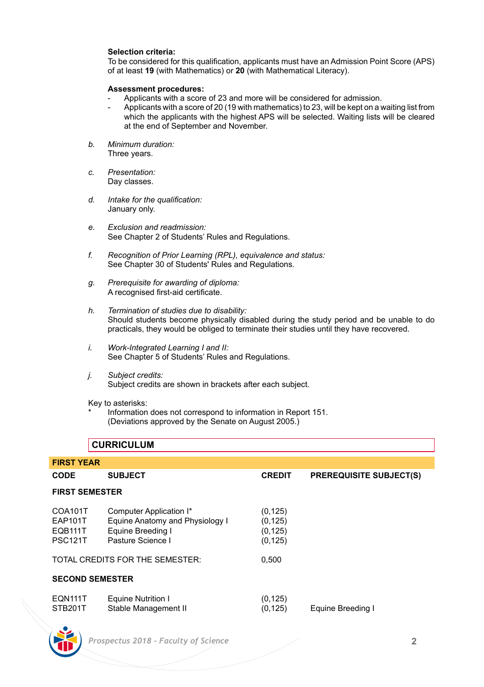# **Selection criteria:**

To be considered for this qualification, applicants must have an Admission Point Score (APS) of at least **19** (with Mathematics) or **20** (with Mathematical Literacy).

## **Assessment procedures:**

- Applicants with a score of 23 and more will be considered for admission.
- Applicants with a score of 20 (19 with mathematics) to 23, will be kept on a waiting list from which the applicants with the highest APS will be selected. Waiting lists will be cleared at the end of September and November.
- *b. Minimum duration:* Three years.
- *c. Presentation:* Day classes.
- *d. Intake for the qualification:* January only.
- *e. Exclusion and readmission:* See Chapter 2 of Students' Rules and Regulations.
- *f. Recognition of Prior Learning (RPL), equivalence and status:* See Chapter 30 of Students' Rules and Regulations.
- *g. Prerequisite for awarding of diploma:* A recognised first-aid certificate.
- *h. Termination of studies due to disability:* Should students become physically disabled during the study period and be unable to do practicals, they would be obliged to terminate their studies until they have recovered.
- *i. Work-Integrated Learning I and II:* See Chapter 5 of Students' Rules and Regulations.
- *j. Subject credits:* Subject credits are shown in brackets after each subject.

Key to asterisks:

Information does not correspond to information in Report 151. (Deviations approved by the Senate on August 2005.)

# **CURRICULUM**

| <b>FIRST YEAR</b>         |                                            |                      |                                |  |
|---------------------------|--------------------------------------------|----------------------|--------------------------------|--|
| <b>CODE</b>               | <b>SUBJECT</b>                             | <b>CREDIT</b>        | <b>PREREQUISITE SUBJECT(S)</b> |  |
| <b>FIRST SEMESTER</b>     |                                            |                      |                                |  |
| COA101T                   | Computer Application I*                    | (0, 125)             |                                |  |
| <b>EAP101T</b>            | Equine Anatomy and Physiology I            | (0, 125)             |                                |  |
| <b>EQB111T</b>            | Equine Breeding I                          | (0, 125)             |                                |  |
| <b>PSC121T</b>            | Pasture Science I                          | (0, 125)             |                                |  |
|                           | TOTAL CREDITS FOR THE SEMESTER:            | 0.500                |                                |  |
| <b>SECOND SEMESTER</b>    |                                            |                      |                                |  |
| <b>EQN111T</b><br>STB201T | Equine Nutrition I<br>Stable Management II | (0, 125)<br>(0, 125) | Equine Breeding I              |  |

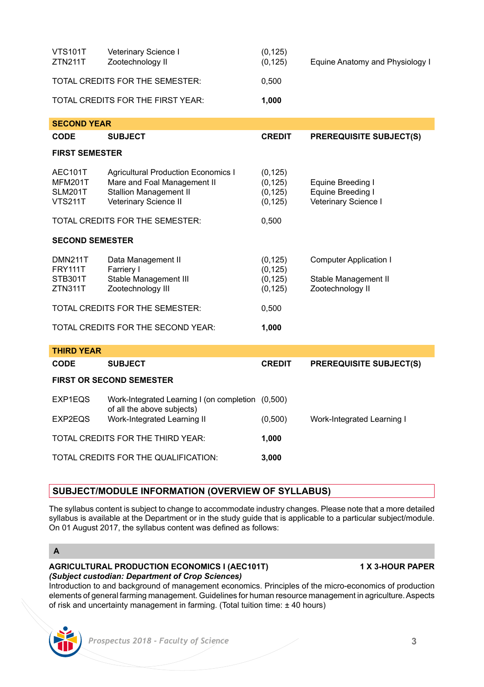| <b>VTS101T</b><br>ZTN211T | Veterinary Science I<br>Zootechnology II | (0, 125)<br>(0, 125) | Equine Anatomy and Physiology I |
|---------------------------|------------------------------------------|----------------------|---------------------------------|
|                           | TOTAL CREDITS FOR THE SEMESTER:          | 0.500                |                                 |
|                           | TOTAL CREDITS FOR THE FIRST YEAR:        | 1.000                |                                 |

| <b>SECOND YEAR</b>                                     |                                                                                                                       |                                              |                                                                    |
|--------------------------------------------------------|-----------------------------------------------------------------------------------------------------------------------|----------------------------------------------|--------------------------------------------------------------------|
| <b>CODE</b>                                            | <b>SUBJECT</b>                                                                                                        | <b>CREDIT</b>                                | <b>PREREQUISITE SUBJECT(S)</b>                                     |
| <b>FIRST SEMESTER</b>                                  |                                                                                                                       |                                              |                                                                    |
| AEC101T<br><b>MFM201T</b><br>SLM201T<br><b>VTS211T</b> | Agricultural Production Economics I<br>Mare and Foal Management II<br>Stallion Management II<br>Veterinary Science II | (0, 125)<br>(0, 125)<br>(0, 125)<br>(0, 125) | Equine Breeding I<br>Equine Breeding I<br>Veterinary Science I     |
|                                                        | TOTAL CREDITS FOR THE SEMESTER:                                                                                       | 0,500                                        |                                                                    |
| <b>SECOND SEMESTER</b>                                 |                                                                                                                       |                                              |                                                                    |
| <b>DMN211T</b><br><b>FRY111T</b><br>STB301T<br>ZTN311T | Data Management II<br>Farriery I<br>Stable Management III<br>Zootechnology III                                        | (0, 125)<br>(0, 125)<br>(0, 125)<br>(0, 125) | Computer Application I<br>Stable Management II<br>Zootechnology II |
|                                                        | TOTAL CREDITS FOR THE SEMESTER:                                                                                       | 0,500                                        |                                                                    |
|                                                        | TOTAL CREDITS FOR THE SECOND YEAR:                                                                                    | 1,000                                        |                                                                    |
| <b>THIRD YEAR</b>                                      |                                                                                                                       |                                              |                                                                    |
| <b>CODE</b>                                            | <b>SUBJECT</b>                                                                                                        | <b>CREDIT</b>                                | <b>PREREQUISITE SUBJECT(S)</b>                                     |

## **FIRST OR SECOND SEMESTER**

| EXP1EQS<br>EXP2EQS | Work-Integrated Learning I (on completion (0,500)<br>of all the above subjects)<br>Work-Integrated Learning II |         | Work-Integrated Learning I |
|--------------------|----------------------------------------------------------------------------------------------------------------|---------|----------------------------|
|                    |                                                                                                                | (0,500) |                            |
|                    | TOTAL CREDITS FOR THE THIRD YEAR:                                                                              | 1.000   |                            |
|                    | TOTAL CREDITS FOR THE QUALIFICATION:                                                                           | 3.000   |                            |

# **SUBJECT/MODULE INFORMATION (OVERVIEW OF SYLLABUS)**

The syllabus content is subject to change to accommodate industry changes. Please note that a more detailed syllabus is available at the Department or in the study guide that is applicable to a particular subject/module. On 01 August 2017, the syllabus content was defined as follows:

# **A**

# **AGRICULTURAL PRODUCTION ECONOMICS I (AEC101T) 1 X 3-HOUR PAPER** *(Subject custodian: Department of Crop Sciences)*

Introduction to and background of management economics. Principles of the micro-economics of production elements of general farming management. Guidelines for human resource management in agriculture. Aspects of risk and uncertainty management in farming. (Total tuition time: ± 40 hours)

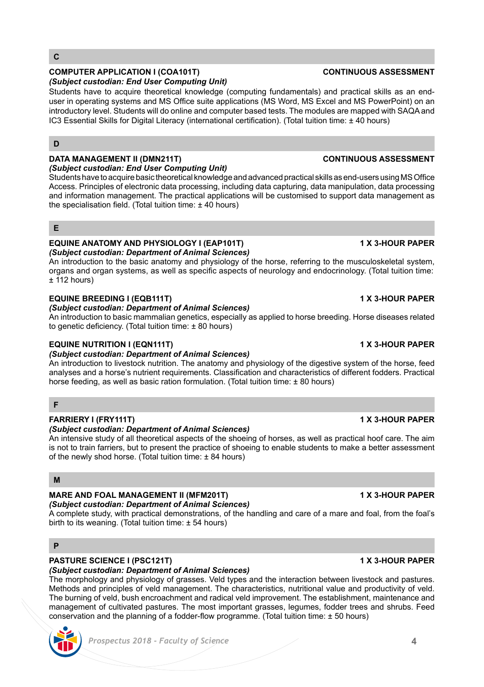# *(Subject custodian: End User Computing Unit)*

Students have to acquire theoretical knowledge (computing fundamentals) and practical skills as an enduser in operating systems and MS Office suite applications (MS Word, MS Excel and MS PowerPoint) on an introductory level. Students will do online and computer based tests. The modules are mapped with SAQA and IC3 Essential Skills for Digital Literacy (international certification). (Total tuition time: ± 40 hours)

# **D**

**C**

# **DATA MANAGEMENT II (DMN211T) CONTINUOUS ASSESSMENT**

*(Subject custodian: End User Computing Unit)* Students have to acquire basic theoretical knowledge and advanced practical skills as end-users using MS Office Access. Principles of electronic data processing, including data capturing, data manipulation, data processing and information management. The practical applications will be customised to support data management as the specialisation field. (Total tuition time: ± 40 hours)

# **E**

## **EQUINE ANATOMY AND PHYSIOLOGY I (EAP101T) 1 X 3-HOUR PAPER** *(Subject custodian: Department of Animal Sciences)*

An introduction to the basic anatomy and physiology of the horse, referring to the musculoskeletal system, organs and organ systems, as well as specific aspects of neurology and endocrinology. (Total tuition time:  $±$  112 hours)

# **EQUINE BREEDING I (EQB111T) 1 X 3-HOUR PAPER**

# *(Subject custodian: Department of Animal Sciences)*

An introduction to basic mammalian genetics, especially as applied to horse breeding. Horse diseases related to genetic deficiency. (Total tuition time: ± 80 hours)

# **EQUINE NUTRITION I (EQN111T) 1 X 3-HOUR PAPER**

## *(Subject custodian: Department of Animal Sciences)*

An introduction to livestock nutrition. The anatomy and physiology of the digestive system of the horse, feed analyses and a horse's nutrient requirements. Classification and characteristics of different fodders. Practical horse feeding, as well as basic ration formulation. (Total tuition time: ± 80 hours)

# **F**

## **FARRIERY I (FRY111T) 1 X 3-HOUR PAPER**

## *(Subject custodian: Department of Animal Sciences)*

An intensive study of all theoretical aspects of the shoeing of horses, as well as practical hoof care. The aim is not to train farriers, but to present the practice of shoeing to enable students to make a better assessment of the newly shod horse. (Total tuition time: ± 84 hours)

# **M**

# **MARE AND FOAL MANAGEMENT II (MFM201T) 1 X 3-HOUR PAPER**

# *(Subject custodian: Department of Animal Sciences)*

A complete study, with practical demonstrations, of the handling and care of a mare and foal, from the foal's birth to its weaning. (Total tuition time: ± 54 hours)

# **P**

## **PASTURE SCIENCE I (PSC121T) 1 X 3-HOUR PAPER** *(Subject custodian: Department of Animal Sciences)*

The morphology and physiology of grasses. Veld types and the interaction between livestock and pastures. Methods and principles of veld management. The characteristics, nutritional value and productivity of veld. The burning of veld, bush encroachment and radical veld improvement. The establishment, maintenance and management of cultivated pastures. The most important grasses, legumes, fodder trees and shrubs. Feed conservation and the planning of a fodder-flow programme. (Total tuition time: ± 50 hours)

# **COMPUTER APPLICATION I (COA101T) CONTINUOUS ASSESSMENT**